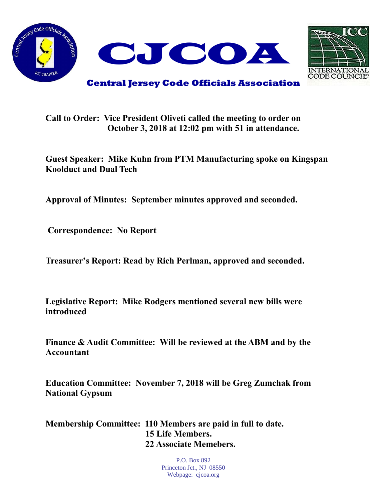



**Call to Order: Vice President Oliveti called the meeting to order on October 3, 2018 at 12:02 pm with 51 in attendance.**

**Guest Speaker: Mike Kuhn from PTM Manufacturing spoke on Kingspan Koolduct and Dual Tech**

**Approval of Minutes: September minutes approved and seconded.** 

**Correspondence: No Report**

**Treasurer's Report: Read by Rich Perlman, approved and seconded.** 

**Legislative Report: Mike Rodgers mentioned several new bills were introduced**

**Finance & Audit Committee: Will be reviewed at the ABM and by the Accountant**

**Education Committee: November 7, 2018 will be Greg Zumchak from National Gypsum**

**Membership Committee: 110 Members are paid in full to date. 15 Life Members. 22 Associate Memebers.**

> P.O. Box 892 Princeton Jct., NJ 08550 Webpage: cjcoa.org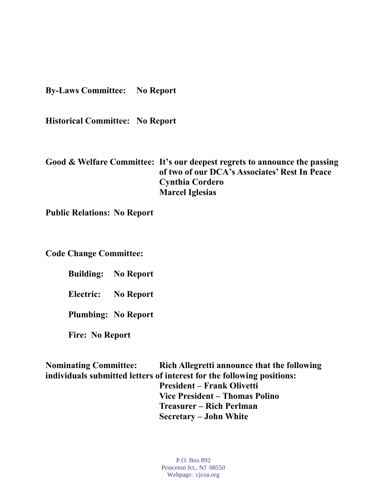**By-Laws Committee: No Report**

**Historical Committee: No Report**

**Good & Welfare Committee: It's our deepest regrets to announce the passing of two of our DCA's Associates' Rest In Peace Cynthia Cordero Marcel Iglesias**

**Public Relations: No Report**

**Code Change Committee:** 

**Building: No Report**

**Electric: No Report**

**Plumbing: No Report**

**Fire: No Report**

**Nominating Committee: Rich Allegretti announce that the following individuals submitted letters of interest for the following positions: President – Frank Olivetti Vice President – Thomas Polino Treasurer – Rich Perlman Secretary – John White**

> P.O. Box 892 Princeton Jct., NJ 08550 Webpage: cjcoa.org